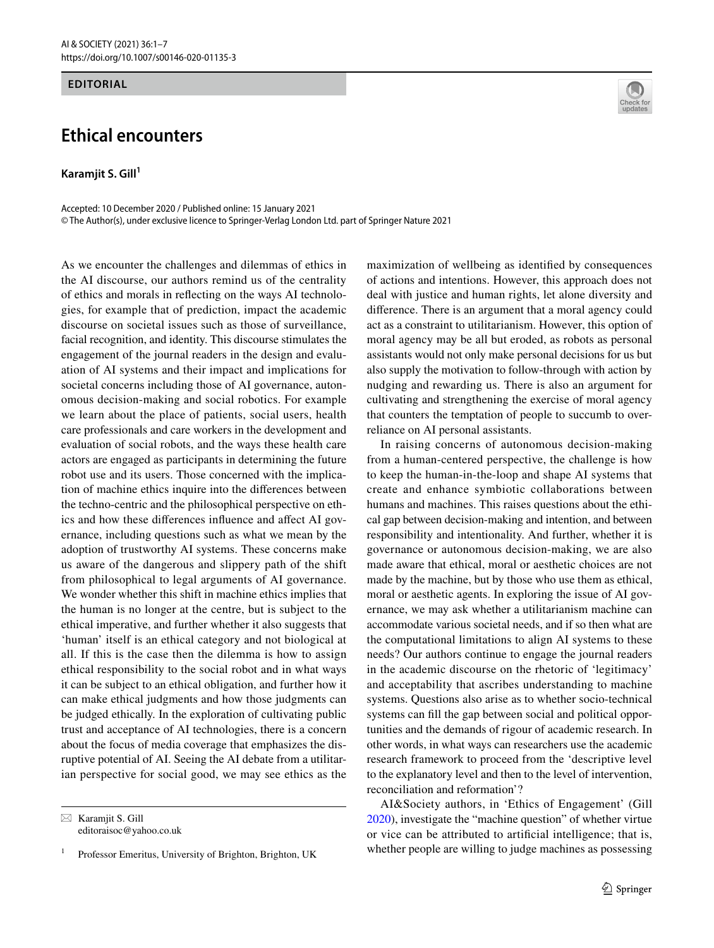## **EDITORIAL**

## **Ethical encounters**

**Karamjit S. Gill**<sup>1</sup>

Accepted: 10 December 2020 / Published online: 15 January 2021 © The Author(s), under exclusive licence to Springer-Verlag London Ltd. part of Springer Nature 2021

As we encounter the challenges and dilemmas of ethics in the AI discourse, our authors remind us of the centrality of ethics and morals in refecting on the ways AI technologies, for example that of prediction, impact the academic discourse on societal issues such as those of surveillance, facial recognition, and identity. This discourse stimulates the engagement of the journal readers in the design and evaluation of AI systems and their impact and implications for societal concerns including those of AI governance, autonomous decision-making and social robotics. For example we learn about the place of patients, social users, health care professionals and care workers in the development and evaluation of social robots, and the ways these health care actors are engaged as participants in determining the future robot use and its users. Those concerned with the implication of machine ethics inquire into the diferences between the techno-centric and the philosophical perspective on ethics and how these diferences infuence and afect AI governance, including questions such as what we mean by the adoption of trustworthy AI systems. These concerns make us aware of the dangerous and slippery path of the shift from philosophical to legal arguments of AI governance. We wonder whether this shift in machine ethics implies that the human is no longer at the centre, but is subject to the ethical imperative, and further whether it also suggests that 'human' itself is an ethical category and not biological at all. If this is the case then the dilemma is how to assign ethical responsibility to the social robot and in what ways it can be subject to an ethical obligation, and further how it can make ethical judgments and how those judgments can be judged ethically. In the exploration of cultivating public trust and acceptance of AI technologies, there is a concern about the focus of media coverage that emphasizes the disruptive potential of AI. Seeing the AI debate from a utilitarian perspective for social good, we may see ethics as the



maximization of wellbeing as identifed by consequences of actions and intentions. However, this approach does not deal with justice and human rights, let alone diversity and diference. There is an argument that a moral agency could act as a constraint to utilitarianism. However, this option of moral agency may be all but eroded, as robots as personal assistants would not only make personal decisions for us but also supply the motivation to follow-through with action by nudging and rewarding us. There is also an argument for cultivating and strengthening the exercise of moral agency that counters the temptation of people to succumb to overreliance on AI personal assistants.

In raising concerns of autonomous decision-making from a human-centered perspective, the challenge is how to keep the human-in-the-loop and shape AI systems that create and enhance symbiotic collaborations between humans and machines. This raises questions about the ethical gap between decision-making and intention, and between responsibility and intentionality. And further, whether it is governance or autonomous decision-making, we are also made aware that ethical, moral or aesthetic choices are not made by the machine, but by those who use them as ethical, moral or aesthetic agents. In exploring the issue of AI governance, we may ask whether a utilitarianism machine can accommodate various societal needs, and if so then what are the computational limitations to align AI systems to these needs? Our authors continue to engage the journal readers in the academic discourse on the rhetoric of 'legitimacy' and acceptability that ascribes understanding to machine systems. Questions also arise as to whether socio-technical systems can fll the gap between social and political opportunities and the demands of rigour of academic research. In other words, in what ways can researchers use the academic research framework to proceed from the 'descriptive level to the explanatory level and then to the level of intervention, reconciliation and reformation'?

AI&Society authors, in 'Ethics of Engagement' (Gill [2020](#page-6-0)), investigate the "machine question" of whether virtue or vice can be attributed to artifcial intelligence; that is, whether people are willing to judge machines as possessing

 $\boxtimes$  Karamjit S. Gill editoraisoc@yahoo.co.uk

Professor Emeritus, University of Brighton, Brighton, UK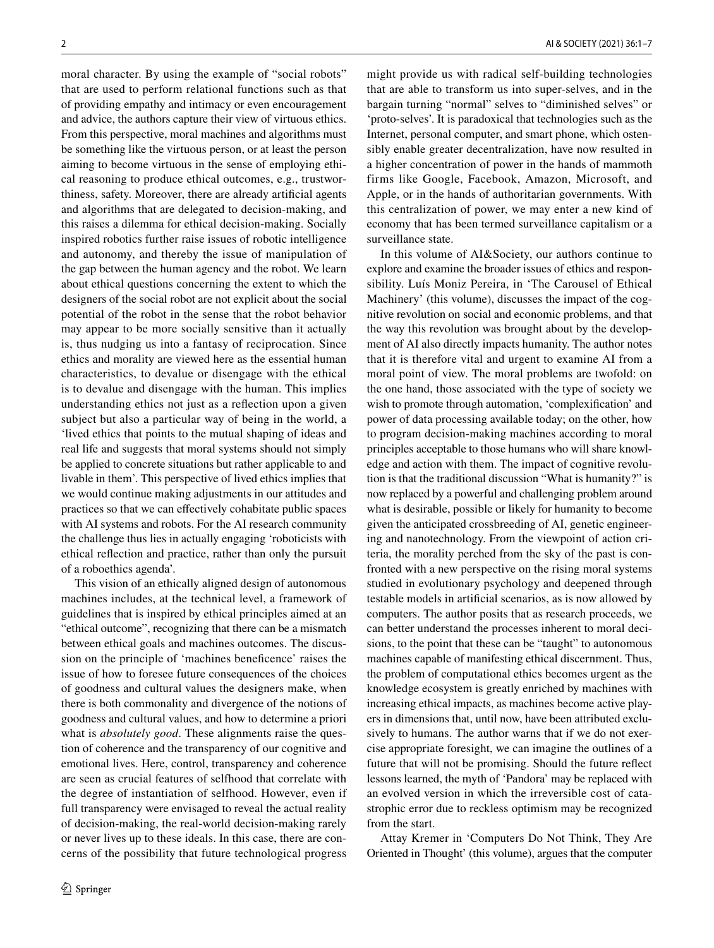moral character. By using the example of "social robots" that are used to perform relational functions such as that of providing empathy and intimacy or even encouragement and advice, the authors capture their view of virtuous ethics. From this perspective, moral machines and algorithms must be something like the virtuous person, or at least the person aiming to become virtuous in the sense of employing ethical reasoning to produce ethical outcomes, e.g., trustworthiness, safety. Moreover, there are already artifcial agents and algorithms that are delegated to decision-making, and this raises a dilemma for ethical decision-making. Socially inspired robotics further raise issues of robotic intelligence and autonomy, and thereby the issue of manipulation of the gap between the human agency and the robot. We learn about ethical questions concerning the extent to which the designers of the social robot are not explicit about the social potential of the robot in the sense that the robot behavior may appear to be more socially sensitive than it actually is, thus nudging us into a fantasy of reciprocation. Since ethics and morality are viewed here as the essential human characteristics, to devalue or disengage with the ethical is to devalue and disengage with the human. This implies understanding ethics not just as a refection upon a given subject but also a particular way of being in the world, a 'lived ethics that points to the mutual shaping of ideas and real life and suggests that moral systems should not simply be applied to concrete situations but rather applicable to and livable in them'. This perspective of lived ethics implies that we would continue making adjustments in our attitudes and practices so that we can efectively cohabitate public spaces with AI systems and robots. For the AI research community the challenge thus lies in actually engaging 'roboticists with ethical refection and practice, rather than only the pursuit of a roboethics agenda'.

This vision of an ethically aligned design of autonomous machines includes, at the technical level, a framework of guidelines that is inspired by ethical principles aimed at an "ethical outcome", recognizing that there can be a mismatch between ethical goals and machines outcomes. The discussion on the principle of 'machines benefcence' raises the issue of how to foresee future consequences of the choices of goodness and cultural values the designers make, when there is both commonality and divergence of the notions of goodness and cultural values, and how to determine a priori what is *absolutely good*. These alignments raise the question of coherence and the transparency of our cognitive and emotional lives. Here, control, transparency and coherence are seen as crucial features of selfhood that correlate with the degree of instantiation of selfhood. However, even if full transparency were envisaged to reveal the actual reality of decision-making, the real-world decision-making rarely or never lives up to these ideals. In this case, there are concerns of the possibility that future technological progress might provide us with radical self-building technologies that are able to transform us into super-selves, and in the bargain turning "normal" selves to "diminished selves" or 'proto-selves'. It is paradoxical that technologies such as the Internet, personal computer, and smart phone, which ostensibly enable greater decentralization, have now resulted in a higher concentration of power in the hands of mammoth firms like Google, Facebook, Amazon, Microsoft, and Apple, or in the hands of authoritarian governments. With this centralization of power, we may enter a new kind of economy that has been termed surveillance capitalism or a surveillance state.

In this volume of AI&Society, our authors continue to explore and examine the broader issues of ethics and responsibility. Luís Moniz Pereira, in 'The Carousel of Ethical Machinery' (this volume), discusses the impact of the cognitive revolution on social and economic problems, and that the way this revolution was brought about by the development of AI also directly impacts humanity. The author notes that it is therefore vital and urgent to examine AI from a moral point of view. The moral problems are twofold: on the one hand, those associated with the type of society we wish to promote through automation, 'complexifcation' and power of data processing available today; on the other, how to program decision-making machines according to moral principles acceptable to those humans who will share knowledge and action with them. The impact of cognitive revolution is that the traditional discussion "What is humanity?" is now replaced by a powerful and challenging problem around what is desirable, possible or likely for humanity to become given the anticipated crossbreeding of AI, genetic engineering and nanotechnology. From the viewpoint of action criteria, the morality perched from the sky of the past is confronted with a new perspective on the rising moral systems studied in evolutionary psychology and deepened through testable models in artifcial scenarios, as is now allowed by computers. The author posits that as research proceeds, we can better understand the processes inherent to moral decisions, to the point that these can be "taught" to autonomous machines capable of manifesting ethical discernment. Thus, the problem of computational ethics becomes urgent as the knowledge ecosystem is greatly enriched by machines with increasing ethical impacts, as machines become active players in dimensions that, until now, have been attributed exclusively to humans. The author warns that if we do not exercise appropriate foresight, we can imagine the outlines of a future that will not be promising. Should the future refect lessons learned, the myth of 'Pandora' may be replaced with an evolved version in which the irreversible cost of catastrophic error due to reckless optimism may be recognized from the start.

Attay Kremer in 'Computers Do Not Think, They Are Oriented in Thought' (this volume), argues that the computer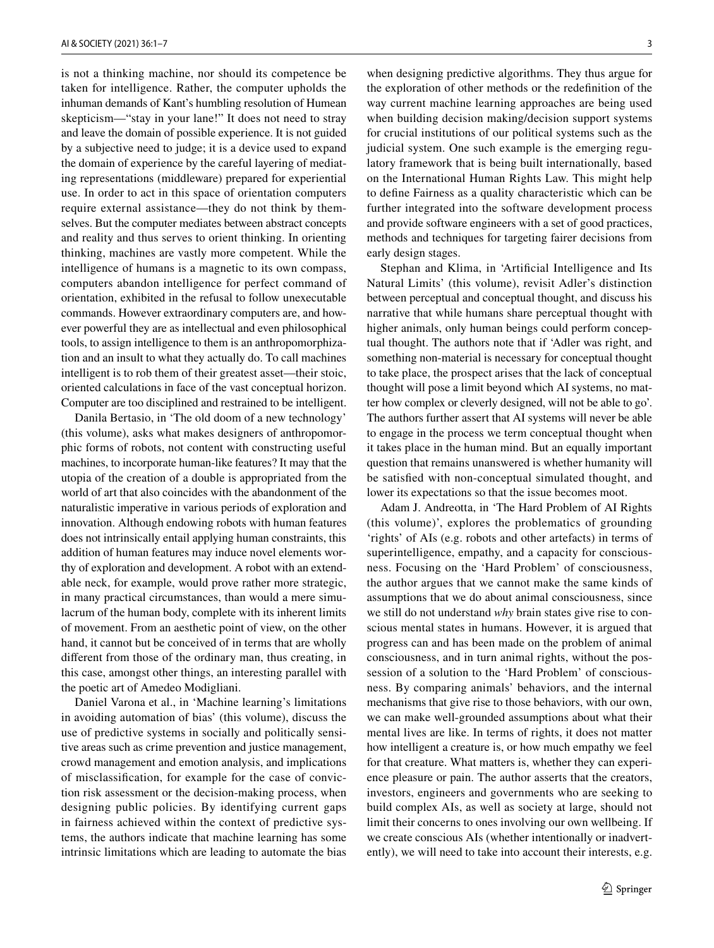is not a thinking machine, nor should its competence be taken for intelligence. Rather, the computer upholds the inhuman demands of Kant's humbling resolution of Humean skepticism—"stay in your lane!" It does not need to stray and leave the domain of possible experience. It is not guided by a subjective need to judge; it is a device used to expand the domain of experience by the careful layering of mediating representations (middleware) prepared for experiential use. In order to act in this space of orientation computers require external assistance—they do not think by themselves. But the computer mediates between abstract concepts and reality and thus serves to orient thinking. In orienting thinking, machines are vastly more competent. While the intelligence of humans is a magnetic to its own compass, computers abandon intelligence for perfect command of orientation, exhibited in the refusal to follow unexecutable commands. However extraordinary computers are, and however powerful they are as intellectual and even philosophical tools, to assign intelligence to them is an anthropomorphization and an insult to what they actually do. To call machines intelligent is to rob them of their greatest asset—their stoic, oriented calculations in face of the vast conceptual horizon. Computer are too disciplined and restrained to be intelligent.

Danila Bertasio, in 'The old doom of a new technology' (this volume), asks what makes designers of anthropomorphic forms of robots, not content with constructing useful machines, to incorporate human-like features? It may that the utopia of the creation of a double is appropriated from the world of art that also coincides with the abandonment of the naturalistic imperative in various periods of exploration and innovation. Although endowing robots with human features does not intrinsically entail applying human constraints, this addition of human features may induce novel elements worthy of exploration and development. A robot with an extendable neck, for example, would prove rather more strategic, in many practical circumstances, than would a mere simulacrum of the human body, complete with its inherent limits of movement. From an aesthetic point of view, on the other hand, it cannot but be conceived of in terms that are wholly diferent from those of the ordinary man, thus creating, in this case, amongst other things, an interesting parallel with the poetic art of Amedeo Modigliani.

Daniel Varona et al., in 'Machine learning's limitations in avoiding automation of bias' (this volume), discuss the use of predictive systems in socially and politically sensitive areas such as crime prevention and justice management, crowd management and emotion analysis, and implications of misclassifcation, for example for the case of conviction risk assessment or the decision-making process, when designing public policies. By identifying current gaps in fairness achieved within the context of predictive systems, the authors indicate that machine learning has some intrinsic limitations which are leading to automate the bias when designing predictive algorithms. They thus argue for the exploration of other methods or the redefnition of the way current machine learning approaches are being used when building decision making/decision support systems for crucial institutions of our political systems such as the judicial system. One such example is the emerging regulatory framework that is being built internationally, based on the International Human Rights Law. This might help to defne Fairness as a quality characteristic which can be further integrated into the software development process and provide software engineers with a set of good practices, methods and techniques for targeting fairer decisions from early design stages.

Stephan and Klima, in 'Artifcial Intelligence and Its Natural Limits' (this volume), revisit Adler's distinction between perceptual and conceptual thought, and discuss his narrative that while humans share perceptual thought with higher animals, only human beings could perform conceptual thought. The authors note that if 'Adler was right, and something non-material is necessary for conceptual thought to take place, the prospect arises that the lack of conceptual thought will pose a limit beyond which AI systems, no matter how complex or cleverly designed, will not be able to go'. The authors further assert that AI systems will never be able to engage in the process we term conceptual thought when it takes place in the human mind. But an equally important question that remains unanswered is whether humanity will be satisfed with non-conceptual simulated thought, and lower its expectations so that the issue becomes moot.

Adam J. Andreotta, in 'The Hard Problem of AI Rights (this volume)', explores the problematics of grounding 'rights' of AIs (e.g. robots and other artefacts) in terms of superintelligence, empathy, and a capacity for consciousness. Focusing on the 'Hard Problem' of consciousness, the author argues that we cannot make the same kinds of assumptions that we do about animal consciousness, since we still do not understand *why* brain states give rise to conscious mental states in humans. However, it is argued that progress can and has been made on the problem of animal consciousness, and in turn animal rights, without the possession of a solution to the 'Hard Problem' of consciousness. By comparing animals' behaviors, and the internal mechanisms that give rise to those behaviors, with our own, we can make well-grounded assumptions about what their mental lives are like. In terms of rights, it does not matter how intelligent a creature is, or how much empathy we feel for that creature. What matters is, whether they can experience pleasure or pain. The author asserts that the creators, investors, engineers and governments who are seeking to build complex AIs, as well as society at large, should not limit their concerns to ones involving our own wellbeing. If we create conscious AIs (whether intentionally or inadvertently), we will need to take into account their interests, e.g.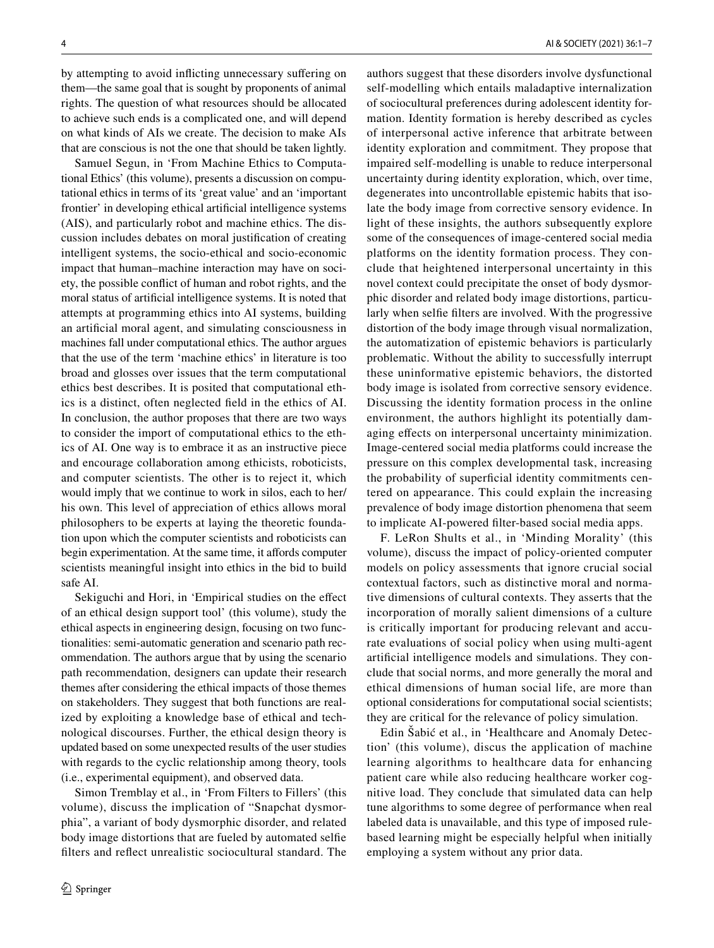by attempting to avoid inficting unnecessary sufering on them—the same goal that is sought by proponents of animal rights. The question of what resources should be allocated to achieve such ends is a complicated one, and will depend on what kinds of AIs we create. The decision to make AIs that are conscious is not the one that should be taken lightly.

Samuel Segun, in 'From Machine Ethics to Computational Ethics' (this volume), presents a discussion on computational ethics in terms of its 'great value' and an 'important frontier' in developing ethical artifcial intelligence systems (AIS), and particularly robot and machine ethics. The discussion includes debates on moral justifcation of creating intelligent systems, the socio-ethical and socio-economic impact that human–machine interaction may have on society, the possible confict of human and robot rights, and the moral status of artifcial intelligence systems. It is noted that attempts at programming ethics into AI systems, building an artifcial moral agent, and simulating consciousness in machines fall under computational ethics. The author argues that the use of the term 'machine ethics' in literature is too broad and glosses over issues that the term computational ethics best describes. It is posited that computational ethics is a distinct, often neglected feld in the ethics of AI. In conclusion, the author proposes that there are two ways to consider the import of computational ethics to the ethics of AI. One way is to embrace it as an instructive piece and encourage collaboration among ethicists, roboticists, and computer scientists. The other is to reject it, which would imply that we continue to work in silos, each to her/ his own. This level of appreciation of ethics allows moral philosophers to be experts at laying the theoretic foundation upon which the computer scientists and roboticists can begin experimentation. At the same time, it affords computer scientists meaningful insight into ethics in the bid to build safe AI.

Sekiguchi and Hori, in 'Empirical studies on the effect of an ethical design support tool' (this volume), study the ethical aspects in engineering design, focusing on two functionalities: semi-automatic generation and scenario path recommendation. The authors argue that by using the scenario path recommendation, designers can update their research themes after considering the ethical impacts of those themes on stakeholders. They suggest that both functions are realized by exploiting a knowledge base of ethical and technological discourses. Further, the ethical design theory is updated based on some unexpected results of the user studies with regards to the cyclic relationship among theory, tools (i.e., experimental equipment), and observed data.

Simon Tremblay et al., in 'From Filters to Fillers' (this volume), discuss the implication of "Snapchat dysmorphia", a variant of body dysmorphic disorder, and related body image distortions that are fueled by automated selfe flters and refect unrealistic sociocultural standard. The authors suggest that these disorders involve dysfunctional self-modelling which entails maladaptive internalization of sociocultural preferences during adolescent identity formation. Identity formation is hereby described as cycles of interpersonal active inference that arbitrate between identity exploration and commitment. They propose that impaired self-modelling is unable to reduce interpersonal uncertainty during identity exploration, which, over time, degenerates into uncontrollable epistemic habits that isolate the body image from corrective sensory evidence. In light of these insights, the authors subsequently explore some of the consequences of image-centered social media platforms on the identity formation process. They conclude that heightened interpersonal uncertainty in this novel context could precipitate the onset of body dysmorphic disorder and related body image distortions, particularly when selfe flters are involved. With the progressive distortion of the body image through visual normalization, the automatization of epistemic behaviors is particularly problematic. Without the ability to successfully interrupt these uninformative epistemic behaviors, the distorted body image is isolated from corrective sensory evidence. Discussing the identity formation process in the online environment, the authors highlight its potentially damaging efects on interpersonal uncertainty minimization. Image-centered social media platforms could increase the pressure on this complex developmental task, increasing the probability of superficial identity commitments centered on appearance. This could explain the increasing prevalence of body image distortion phenomena that seem to implicate AI-powered flter-based social media apps.

F. LeRon Shults et al., in 'Minding Morality' (this volume), discuss the impact of policy-oriented computer models on policy assessments that ignore crucial social contextual factors, such as distinctive moral and normative dimensions of cultural contexts. They asserts that the incorporation of morally salient dimensions of a culture is critically important for producing relevant and accurate evaluations of social policy when using multi-agent artifcial intelligence models and simulations. They conclude that social norms, and more generally the moral and ethical dimensions of human social life, are more than optional considerations for computational social scientists; they are critical for the relevance of policy simulation.

Edin Šabić et al., in 'Healthcare and Anomaly Detection' (this volume), discus the application of machine learning algorithms to healthcare data for enhancing patient care while also reducing healthcare worker cognitive load. They conclude that simulated data can help tune algorithms to some degree of performance when real labeled data is unavailable, and this type of imposed rulebased learning might be especially helpful when initially employing a system without any prior data.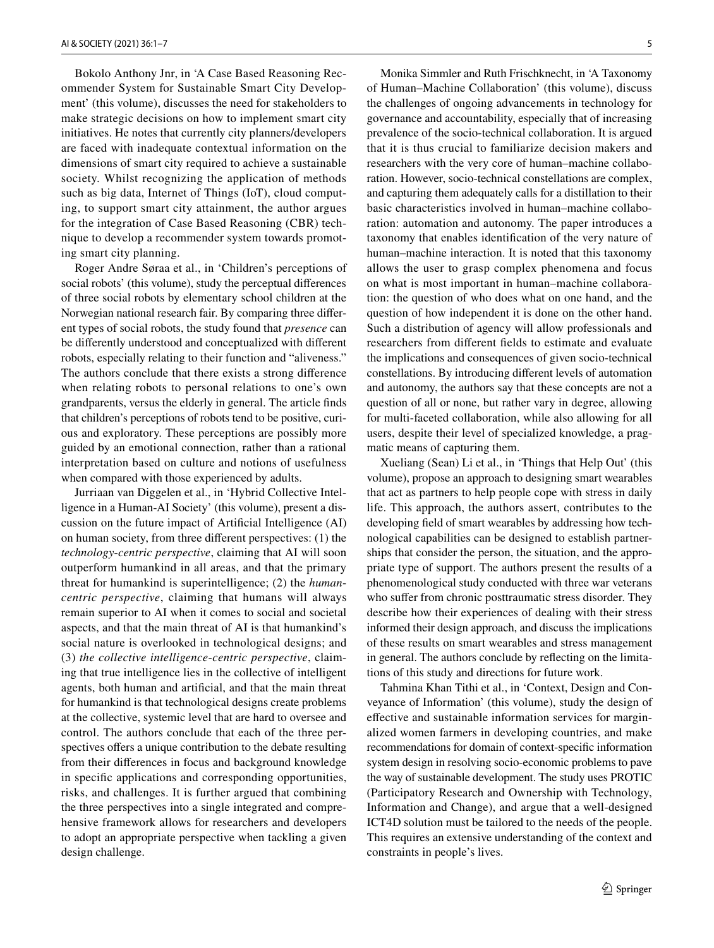Bokolo Anthony Jnr, in 'A Case Based Reasoning Recommender System for Sustainable Smart City Development' (this volume), discusses the need for stakeholders to make strategic decisions on how to implement smart city initiatives. He notes that currently city planners/developers are faced with inadequate contextual information on the dimensions of smart city required to achieve a sustainable society. Whilst recognizing the application of methods such as big data, Internet of Things (IoT), cloud computing, to support smart city attainment, the author argues for the integration of Case Based Reasoning (CBR) technique to develop a recommender system towards promoting smart city planning.

Roger Andre Søraa et al., in 'Children's perceptions of social robots' (this volume), study the perceptual diferences of three social robots by elementary school children at the Norwegian national research fair. By comparing three diferent types of social robots, the study found that *presence* can be diferently understood and conceptualized with diferent robots, especially relating to their function and "aliveness." The authors conclude that there exists a strong diference when relating robots to personal relations to one's own grandparents, versus the elderly in general. The article fnds that children's perceptions of robots tend to be positive, curious and exploratory. These perceptions are possibly more guided by an emotional connection, rather than a rational interpretation based on culture and notions of usefulness when compared with those experienced by adults.

Jurriaan van Diggelen et al., in 'Hybrid Collective Intelligence in a Human-AI Society' (this volume), present a discussion on the future impact of Artifcial Intelligence (AI) on human society, from three diferent perspectives: (1) the *technology*-*centric perspective*, claiming that AI will soon outperform humankind in all areas, and that the primary threat for humankind is superintelligence; (2) the *humancentric perspective*, claiming that humans will always remain superior to AI when it comes to social and societal aspects, and that the main threat of AI is that humankind's social nature is overlooked in technological designs; and (3) *the collective intelligence*-*centric perspective*, claiming that true intelligence lies in the collective of intelligent agents, both human and artifcial, and that the main threat for humankind is that technological designs create problems at the collective, systemic level that are hard to oversee and control. The authors conclude that each of the three perspectives offers a unique contribution to the debate resulting from their diferences in focus and background knowledge in specifc applications and corresponding opportunities, risks, and challenges. It is further argued that combining the three perspectives into a single integrated and comprehensive framework allows for researchers and developers to adopt an appropriate perspective when tackling a given design challenge.

Monika Simmler and Ruth Frischknecht, in 'A Taxonomy of Human–Machine Collaboration' (this volume), discuss the challenges of ongoing advancements in technology for governance and accountability, especially that of increasing prevalence of the socio-technical collaboration. It is argued that it is thus crucial to familiarize decision makers and researchers with the very core of human–machine collaboration. However, socio-technical constellations are complex, and capturing them adequately calls for a distillation to their basic characteristics involved in human–machine collaboration: automation and autonomy. The paper introduces a taxonomy that enables identifcation of the very nature of human–machine interaction. It is noted that this taxonomy allows the user to grasp complex phenomena and focus on what is most important in human–machine collaboration: the question of who does what on one hand, and the question of how independent it is done on the other hand. Such a distribution of agency will allow professionals and researchers from diferent felds to estimate and evaluate the implications and consequences of given socio-technical constellations. By introducing diferent levels of automation and autonomy, the authors say that these concepts are not a question of all or none, but rather vary in degree, allowing for multi-faceted collaboration, while also allowing for all users, despite their level of specialized knowledge, a pragmatic means of capturing them.

Xueliang (Sean) Li et al., in 'Things that Help Out' (this volume), propose an approach to designing smart wearables that act as partners to help people cope with stress in daily life. This approach, the authors assert, contributes to the developing feld of smart wearables by addressing how technological capabilities can be designed to establish partnerships that consider the person, the situation, and the appropriate type of support. The authors present the results of a phenomenological study conducted with three war veterans who suffer from chronic posttraumatic stress disorder. They describe how their experiences of dealing with their stress informed their design approach, and discuss the implications of these results on smart wearables and stress management in general. The authors conclude by refecting on the limitations of this study and directions for future work.

Tahmina Khan Tithi et al., in 'Context, Design and Conveyance of Information' (this volume), study the design of efective and sustainable information services for marginalized women farmers in developing countries, and make recommendations for domain of context-specifc information system design in resolving socio-economic problems to pave the way of sustainable development. The study uses PROTIC (Participatory Research and Ownership with Technology, Information and Change), and argue that a well-designed ICT4D solution must be tailored to the needs of the people. This requires an extensive understanding of the context and constraints in people's lives.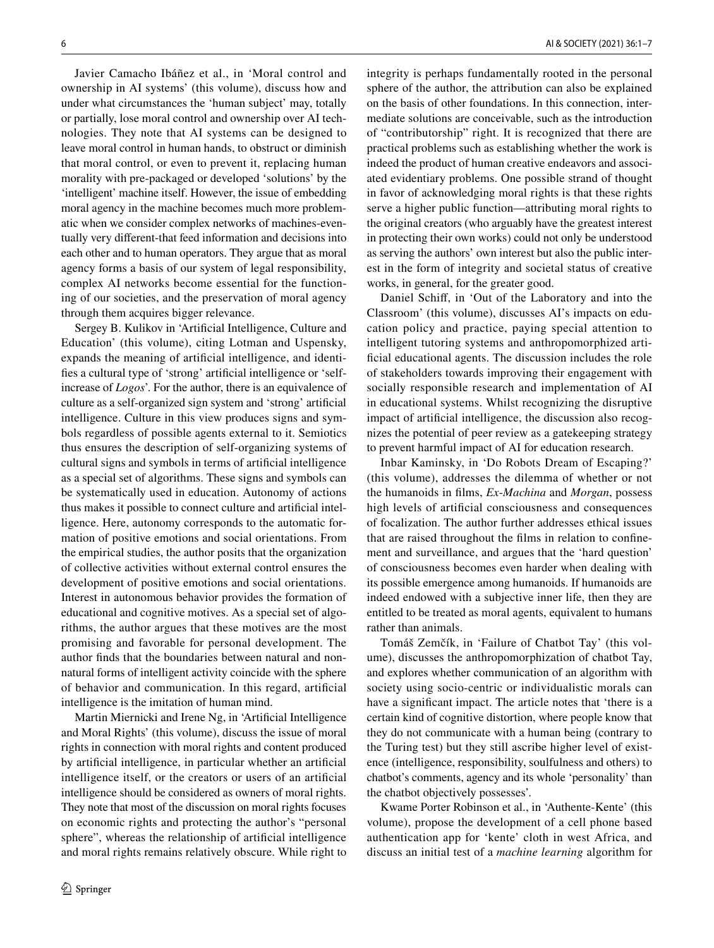Javier Camacho Ibáñez et al., in 'Moral control and ownership in AI systems' (this volume), discuss how and under what circumstances the 'human subject' may, totally or partially, lose moral control and ownership over AI technologies. They note that AI systems can be designed to leave moral control in human hands, to obstruct or diminish that moral control, or even to prevent it, replacing human morality with pre-packaged or developed 'solutions' by the 'intelligent' machine itself. However, the issue of embedding moral agency in the machine becomes much more problematic when we consider complex networks of machines-eventually very diferent-that feed information and decisions into each other and to human operators. They argue that as moral agency forms a basis of our system of legal responsibility, complex AI networks become essential for the functioning of our societies, and the preservation of moral agency through them acquires bigger relevance.

Sergey B. Kulikov in 'Artifcial Intelligence, Culture and Education' (this volume), citing Lotman and Uspensky, expands the meaning of artifcial intelligence, and identifes a cultural type of 'strong' artifcial intelligence or 'selfincrease of *Logos*'. For the author, there is an equivalence of culture as a self-organized sign system and 'strong' artifcial intelligence. Culture in this view produces signs and symbols regardless of possible agents external to it. Semiotics thus ensures the description of self-organizing systems of cultural signs and symbols in terms of artifcial intelligence as a special set of algorithms. These signs and symbols can be systematically used in education. Autonomy of actions thus makes it possible to connect culture and artifcial intelligence. Here, autonomy corresponds to the automatic formation of positive emotions and social orientations. From the empirical studies, the author posits that the organization of collective activities without external control ensures the development of positive emotions and social orientations. Interest in autonomous behavior provides the formation of educational and cognitive motives. As a special set of algorithms, the author argues that these motives are the most promising and favorable for personal development. The author fnds that the boundaries between natural and nonnatural forms of intelligent activity coincide with the sphere of behavior and communication. In this regard, artifcial intelligence is the imitation of human mind.

Martin Miernicki and Irene Ng, in 'Artifcial Intelligence and Moral Rights' (this volume), discuss the issue of moral rights in connection with moral rights and content produced by artifcial intelligence, in particular whether an artifcial intelligence itself, or the creators or users of an artifcial intelligence should be considered as owners of moral rights. They note that most of the discussion on moral rights focuses on economic rights and protecting the author's "personal sphere", whereas the relationship of artifcial intelligence and moral rights remains relatively obscure. While right to integrity is perhaps fundamentally rooted in the personal sphere of the author, the attribution can also be explained on the basis of other foundations. In this connection, intermediate solutions are conceivable, such as the introduction of "contributorship" right. It is recognized that there are practical problems such as establishing whether the work is indeed the product of human creative endeavors and associated evidentiary problems. One possible strand of thought in favor of acknowledging moral rights is that these rights serve a higher public function—attributing moral rights to the original creators (who arguably have the greatest interest in protecting their own works) could not only be understood as serving the authors' own interest but also the public interest in the form of integrity and societal status of creative works, in general, for the greater good.

Daniel Schif, in 'Out of the Laboratory and into the Classroom' (this volume), discusses AI's impacts on education policy and practice, paying special attention to intelligent tutoring systems and anthropomorphized artificial educational agents. The discussion includes the role of stakeholders towards improving their engagement with socially responsible research and implementation of AI in educational systems. Whilst recognizing the disruptive impact of artifcial intelligence, the discussion also recognizes the potential of peer review as a gatekeeping strategy to prevent harmful impact of AI for education research.

Inbar Kaminsky, in 'Do Robots Dream of Escaping?' (this volume), addresses the dilemma of whether or not the humanoids in flms, *Ex*-*Machina* and *Morgan*, possess high levels of artifcial consciousness and consequences of focalization. The author further addresses ethical issues that are raised throughout the flms in relation to confnement and surveillance, and argues that the 'hard question' of consciousness becomes even harder when dealing with its possible emergence among humanoids. If humanoids are indeed endowed with a subjective inner life, then they are entitled to be treated as moral agents, equivalent to humans rather than animals.

Tomáš Zemčík, in 'Failure of Chatbot Tay' (this volume), discusses the anthropomorphization of chatbot Tay, and explores whether communication of an algorithm with society using socio-centric or individualistic morals can have a signifcant impact. The article notes that 'there is a certain kind of cognitive distortion, where people know that they do not communicate with a human being (contrary to the Turing test) but they still ascribe higher level of existence (intelligence, responsibility, soulfulness and others) to chatbot's comments, agency and its whole 'personality' than the chatbot objectively possesses'.

Kwame Porter Robinson et al., in 'Authente-Kente' (this volume), propose the development of a cell phone based authentication app for 'kente' cloth in west Africa, and discuss an initial test of a *machine learning* algorithm for